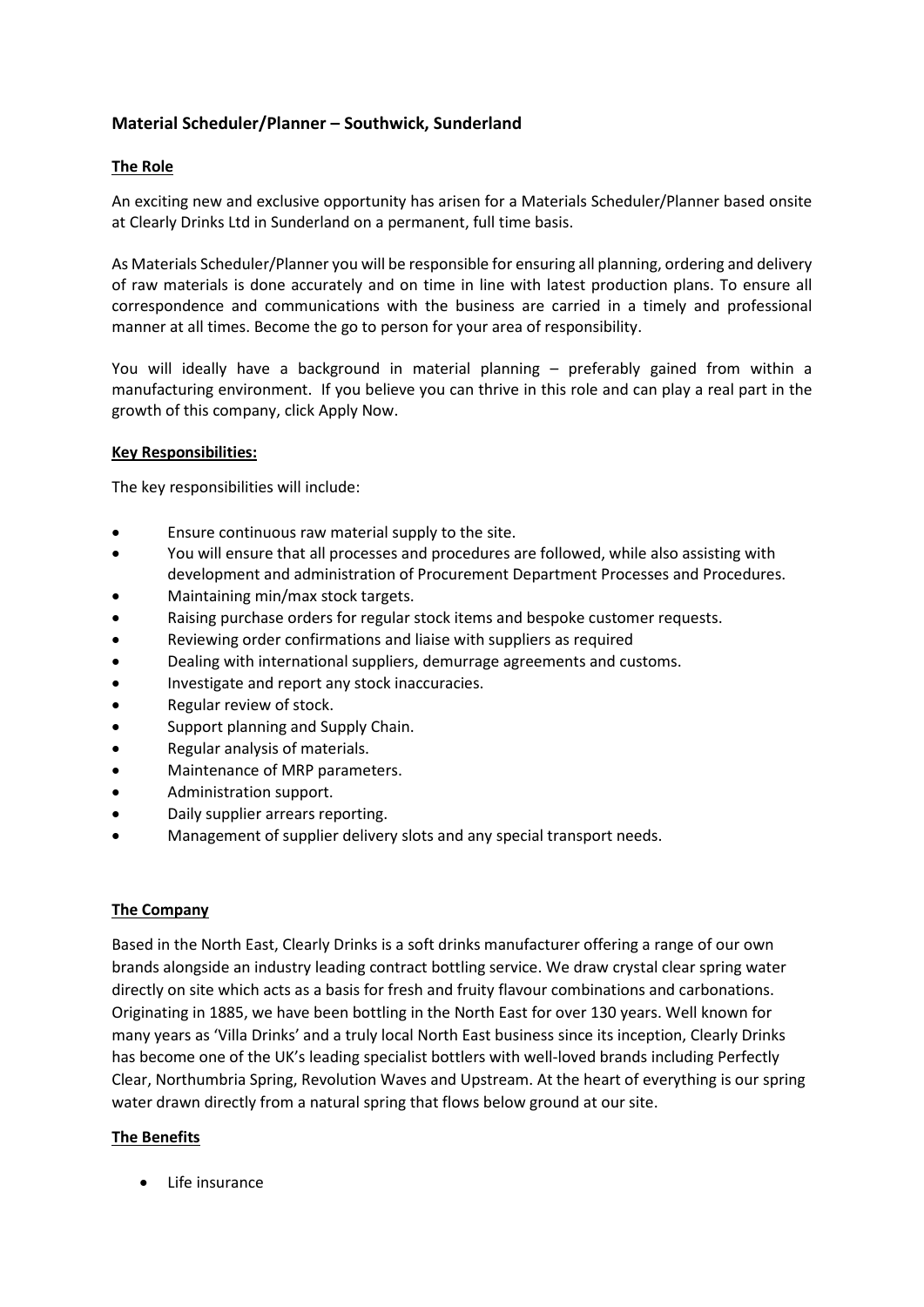# **Material Scheduler/Planner – Southwick, Sunderland**

## **The Role**

An exciting new and exclusive opportunity has arisen for a Materials Scheduler/Planner based onsite at Clearly Drinks Ltd in Sunderland on a permanent, full time basis.

As Materials Scheduler/Planner you will be responsible for ensuring all planning, ordering and delivery of raw materials is done accurately and on time in line with latest production plans. To ensure all correspondence and communications with the business are carried in a timely and professional manner at all times. Become the go to person for your area of responsibility.

You will ideally have a background in material planning – preferably gained from within a manufacturing environment. If you believe you can thrive in this role and can play a real part in the growth of this company, click Apply Now.

### **Key Responsibilities:**

The key responsibilities will include:

- Ensure continuous raw material supply to the site.
- You will ensure that all processes and procedures are followed, while also assisting with development and administration of Procurement Department Processes and Procedures.
- Maintaining min/max stock targets.
- Raising purchase orders for regular stock items and bespoke customer requests.
- Reviewing order confirmations and liaise with suppliers as required
- Dealing with international suppliers, demurrage agreements and customs.
- Investigate and report any stock inaccuracies.
- Regular review of stock.
- Support planning and Supply Chain.
- Regular analysis of materials.
- Maintenance of MRP parameters.
- Administration support.
- Daily supplier arrears reporting.
- Management of supplier delivery slots and any special transport needs.

### **The Company**

Based in the North East, Clearly Drinks is a soft drinks manufacturer offering a range of our own brands alongside an industry leading contract bottling service. We draw crystal clear spring water directly on site which acts as a basis for fresh and fruity flavour combinations and carbonations. Originating in 1885, we have been bottling in the North East for over 130 years. Well known for many years as 'Villa Drinks' and a truly local North East business since its inception, Clearly Drinks has become one of the UK's leading specialist bottlers with well-loved brands including Perfectly Clear, Northumbria Spring, Revolution Waves and Upstream. At the heart of everything is our spring water drawn directly from a natural spring that flows below ground at our site.

### **The Benefits**

• Life insurance